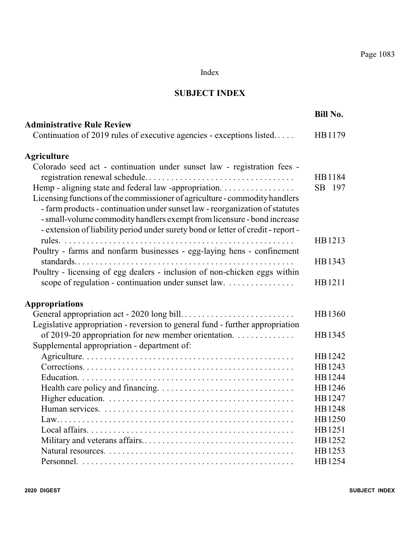#### Index

#### **SUBJECT INDEX**

|                                                                                                                                                                                                                                        | <b>Bill No.</b>  |
|----------------------------------------------------------------------------------------------------------------------------------------------------------------------------------------------------------------------------------------|------------------|
| <b>Administrative Rule Review</b>                                                                                                                                                                                                      |                  |
| Continuation of 2019 rules of executive agencies - exceptions listed                                                                                                                                                                   | HB1179           |
|                                                                                                                                                                                                                                        |                  |
| <b>Agriculture</b>                                                                                                                                                                                                                     |                  |
| Colorado seed act - continuation under sunset law - registration fees -<br>Hemp - aligning state and federal law -appropriation.                                                                                                       | HB1184<br>SB 197 |
| Licensing functions of the commissioner of agriculture - commodity handlers<br>- farm products - continuation under sunset law - reorganization of statutes<br>- small-volume commodity handlers exempt from licensure - bond increase |                  |
| - extension of liability period under surety bond or letter of credit - report -                                                                                                                                                       | HB1213           |
| Poultry - farms and nonfarm businesses - egg-laying hens - confinement                                                                                                                                                                 |                  |
|                                                                                                                                                                                                                                        | HB1343           |
| Poultry - licensing of egg dealers - inclusion of non-chicken eggs within                                                                                                                                                              |                  |
| scope of regulation - continuation under sunset law.                                                                                                                                                                                   | HB1211           |
|                                                                                                                                                                                                                                        |                  |
| <b>Appropriations</b>                                                                                                                                                                                                                  |                  |
|                                                                                                                                                                                                                                        | HB1360           |
| Legislative appropriation - reversion to general fund - further appropriation                                                                                                                                                          |                  |
| of 2019-20 appropriation for new member orientation.                                                                                                                                                                                   | HB1345           |
| Supplemental appropriation - department of:                                                                                                                                                                                            |                  |
|                                                                                                                                                                                                                                        | HB1242           |
|                                                                                                                                                                                                                                        | HB1243           |
|                                                                                                                                                                                                                                        | HB1244           |
|                                                                                                                                                                                                                                        | HB1246           |
|                                                                                                                                                                                                                                        | HB1247           |
|                                                                                                                                                                                                                                        | HB1248           |
|                                                                                                                                                                                                                                        | HB1250           |
|                                                                                                                                                                                                                                        | HB1251           |
|                                                                                                                                                                                                                                        | HB1252           |
|                                                                                                                                                                                                                                        | HB1253           |
|                                                                                                                                                                                                                                        | HB1254           |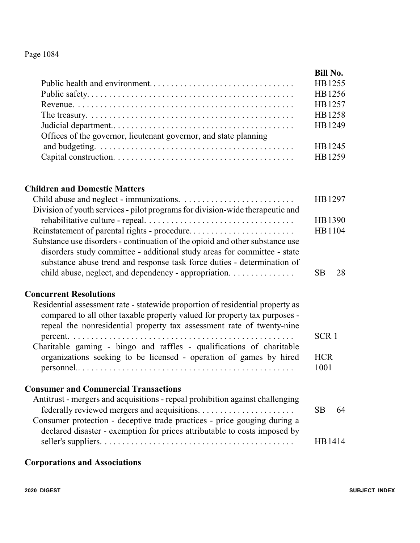|                                                                  | <b>Bill No.</b> |
|------------------------------------------------------------------|-----------------|
|                                                                  | HB1255          |
|                                                                  | HB1256          |
|                                                                  | HB1257          |
|                                                                  | HB1258          |
|                                                                  | HB1249          |
| Offices of the governor, lieutenant governor, and state planning |                 |
|                                                                  | HB1245          |
|                                                                  | HB1259          |

#### **Children and Domestic Matters**

|                                                                                                                                                                                                                                                                                              | HB1297             |
|----------------------------------------------------------------------------------------------------------------------------------------------------------------------------------------------------------------------------------------------------------------------------------------------|--------------------|
| Division of youth services - pilot programs for division-wide therapeutic and                                                                                                                                                                                                                |                    |
|                                                                                                                                                                                                                                                                                              | HB1390             |
| Reinstatement of parental rights - procedure                                                                                                                                                                                                                                                 | HB1104             |
| Substance use disorders - continuation of the opioid and other substance use<br>disorders study committee - additional study areas for committee - state<br>substance abuse trend and response task force duties - determination of<br>child abuse, neglect, and dependency - appropriation. | 28<br>SB           |
| <b>Concurrent Resolutions</b>                                                                                                                                                                                                                                                                |                    |
| Residential assessment rate - statewide proportion of residential property as<br>compared to all other taxable property valued for property tax purposes -<br>repeal the nonresidential property tax assessment rate of twenty-nine                                                          |                    |
| Charitable gaming - bingo and raffles - qualifications of charitable                                                                                                                                                                                                                         | SCR <sub>1</sub>   |
| organizations seeking to be licensed - operation of games by hired                                                                                                                                                                                                                           | <b>HCR</b><br>1001 |
| <b>Consumer and Commercial Transactions</b>                                                                                                                                                                                                                                                  |                    |
| Antitrust - mergers and acquisitions - repeal prohibition against challenging<br>Consumer protection - deceptive trade practices - price gouging during a<br>declared disaster - exemption for prices attributable to costs imposed by                                                       | <b>SB</b><br>64    |
|                                                                                                                                                                                                                                                                                              | HB1414             |
|                                                                                                                                                                                                                                                                                              |                    |

# **Corporations and Associations**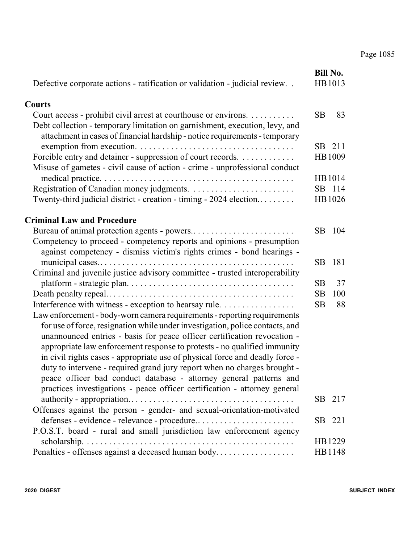|                                                                               |           | <b>Bill No.</b> |
|-------------------------------------------------------------------------------|-----------|-----------------|
| Defective corporate actions - ratification or validation - judicial review    |           | HB1013          |
| <b>Courts</b>                                                                 |           |                 |
| Court access - prohibit civil arrest at courthouse or environs.               | <b>SB</b> | 83              |
| Debt collection - temporary limitation on garnishment, execution, levy, and   |           |                 |
| attachment in cases of financial hardship - notice requirements - temporary   |           |                 |
|                                                                               | SB        | 211             |
| Forcible entry and detainer - suppression of court records.                   |           | HB1009          |
| Misuse of gametes - civil cause of action - crime - unprofessional conduct    |           |                 |
|                                                                               |           | HB1014          |
|                                                                               |           | SB 114          |
| Twenty-third judicial district - creation - timing - 2024 election            |           | HB1026          |
| <b>Criminal Law and Procedure</b>                                             |           |                 |
|                                                                               | SB.       | 104             |
| Competency to proceed - competency reports and opinions - presumption         |           |                 |
| against competency - dismiss victim's rights crimes - bond hearings -         |           |                 |
|                                                                               | SB.       | 181             |
| Criminal and juvenile justice advisory committee - trusted interoperability   |           |                 |
|                                                                               | <b>SB</b> | 37              |
|                                                                               | <b>SB</b> | 100             |
| Interference with witness - exception to hearsay rule.                        | <b>SB</b> | 88              |
| Law enforcement - body-worn camera requirements - reporting requirements      |           |                 |
| for use of force, resignation while under investigation, police contacts, and |           |                 |
| unannounced entries - basis for peace officer certification revocation -      |           |                 |
| appropriate law enforcement response to protests - no qualified immunity      |           |                 |
| in civil rights cases - appropriate use of physical force and deadly force -  |           |                 |
| duty to intervene - required grand jury report when no charges brought -      |           |                 |
| peace officer bad conduct database - attorney general patterns and            |           |                 |
| practices investigations - peace officer certification - attorney general     |           |                 |
| Offenses against the person - gender- and sexual-orientation-motivated        |           | SB 217          |
| defenses - evidence - relevance - procedure                                   |           | SB 221          |
| P.O.S.T. board - rural and small jurisdiction law enforcement agency          |           |                 |
|                                                                               |           | HB1229          |
| Penalties - offenses against a deceased human body                            |           | HB1148          |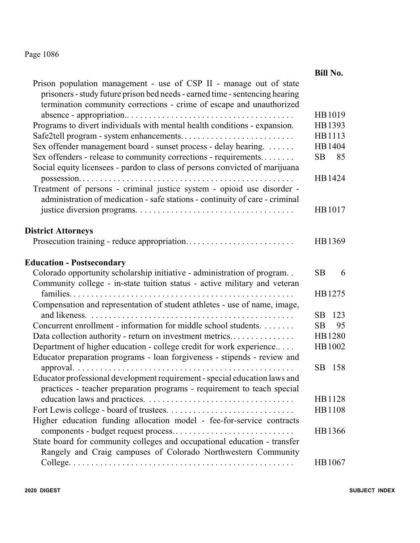|                                                                                                                                                                                                                            | <b>Bill No.</b> |
|----------------------------------------------------------------------------------------------------------------------------------------------------------------------------------------------------------------------------|-----------------|
| Prison population management - use of CSP II - manage out of state<br>prisoners - study future prison bed needs - earned time - sentencing hearing<br>termination community corrections - crime of escape and unauthorized |                 |
|                                                                                                                                                                                                                            | HB1019          |
| Programs to divert individuals with mental health conditions - expansion.                                                                                                                                                  | HB1393          |
|                                                                                                                                                                                                                            | HB1113          |
| Sex offender management board - sunset process - delay hearing.                                                                                                                                                            | HB1404          |
| Sex offenders - release to community corrections - requirements                                                                                                                                                            | 85<br>SB        |
| Social equity licensees - pardon to class of persons convicted of marijuana                                                                                                                                                |                 |
|                                                                                                                                                                                                                            | HB1424          |
| Treatment of persons - criminal justice system - opioid use disorder -<br>administration of medication - safe stations - continuity of care - criminal                                                                     |                 |
|                                                                                                                                                                                                                            | HB1017          |
| <b>District Attorneys</b>                                                                                                                                                                                                  |                 |
|                                                                                                                                                                                                                            | HB1369          |
| <b>Education - Postsecondary</b>                                                                                                                                                                                           |                 |
| Colorado opportunity scholarship initiative - administration of program                                                                                                                                                    | SB.<br>6        |
| Community college - in-state tuition status - active military and veteran                                                                                                                                                  |                 |
|                                                                                                                                                                                                                            | HB1275          |
| Compensation and representation of student athletes - use of name, image,                                                                                                                                                  |                 |
|                                                                                                                                                                                                                            | SB<br>123       |
| Concurrent enrollment - information for middle school students.                                                                                                                                                            | <b>SB</b><br>95 |
| Data collection authority - return on investment metrics                                                                                                                                                                   | HB1280          |
| Department of higher education - college credit for work experience                                                                                                                                                        | HB1002          |
| Educator preparation programs - loan forgiveness - stipends - review and                                                                                                                                                   |                 |
|                                                                                                                                                                                                                            | SB 158          |
| Educator professional development requirement - special education laws and                                                                                                                                                 |                 |
| practices - teacher preparation programs - requirement to teach special                                                                                                                                                    |                 |
|                                                                                                                                                                                                                            | HB1128          |
|                                                                                                                                                                                                                            | HB1108          |
| Higher education funding allocation model - fee-for-service contracts                                                                                                                                                      |                 |
|                                                                                                                                                                                                                            | HB1366          |
| State board for community colleges and occupational education - transfer                                                                                                                                                   |                 |
| Rangely and Craig campuses of Colorado Northwestern Community                                                                                                                                                              |                 |
|                                                                                                                                                                                                                            | HB 1067         |
|                                                                                                                                                                                                                            |                 |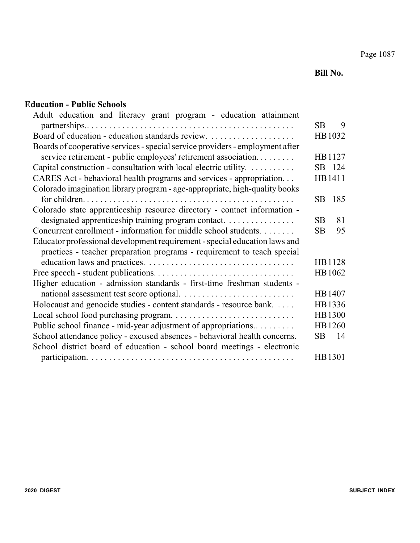**Bill No.**

#### **Education - Public Schools**

| Adult education and literacy grant program - education attainment             |    |        |
|-------------------------------------------------------------------------------|----|--------|
|                                                                               | SB | 9      |
|                                                                               |    | HB1032 |
| Boards of cooperative services - special service providers - employment after |    |        |
| service retirement - public employees' retirement association                 |    | HB1127 |
| Capital construction - consultation with local electric utility.              |    | SB 124 |
| CARES Act - behavioral health programs and services - appropriation           |    | HB1411 |
| Colorado imagination library program - age-appropriate, high-quality books    |    |        |
|                                                                               | SB | 185    |
| Colorado state apprenticeship resource directory - contact information -      |    |        |
| designated apprenticeship training program contact.                           | SB | 81     |
| Concurrent enrollment - information for middle school students.               | SB | 95     |
| Educator professional development requirement - special education laws and    |    |        |
| practices - teacher preparation programs - requirement to teach special       |    |        |
|                                                                               |    | HB1128 |
|                                                                               |    | HB1062 |
| Higher education - admission standards - first-time freshman students -       |    |        |
|                                                                               |    | HB1407 |
| Holocaust and genocide studies - content standards - resource bank.           |    | HB1336 |
|                                                                               |    | HB1300 |
| Public school finance - mid-year adjustment of appropriations                 |    | HB1260 |
| School attendance policy - excused absences - behavioral health concerns.     | SВ | 14     |
| School district board of education - school board meetings - electronic       |    |        |
|                                                                               |    | HB1301 |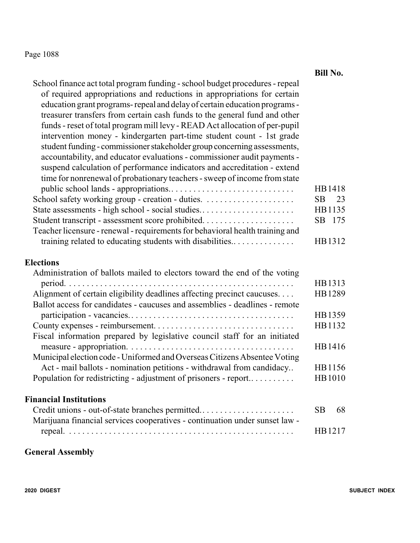|                                                                                                                                                                                                                                                                                                                                                                                                                                                                                                                                                                                                                                                                                                                                                                                                                                                                                                                                                                                                                                                 | <b>Bill No.</b>                                                    |
|-------------------------------------------------------------------------------------------------------------------------------------------------------------------------------------------------------------------------------------------------------------------------------------------------------------------------------------------------------------------------------------------------------------------------------------------------------------------------------------------------------------------------------------------------------------------------------------------------------------------------------------------------------------------------------------------------------------------------------------------------------------------------------------------------------------------------------------------------------------------------------------------------------------------------------------------------------------------------------------------------------------------------------------------------|--------------------------------------------------------------------|
| School finance act total program funding - school budget procedures - repeal<br>of required appropriations and reductions in appropriations for certain<br>education grant programs-repeal and delay of certain education programs -<br>treasurer transfers from certain cash funds to the general fund and other<br>funds - reset of total program mill levy - READ Act allocation of per-pupil<br>intervention money - kindergarten part-time student count - 1st grade<br>student funding - commissioner stakeholder group concerning assessments,<br>accountability, and educator evaluations - commissioner audit payments -<br>suspend calculation of performance indicators and accreditation - extend<br>time for nonrenewal of probationary teachers - sweep of income from state<br>State assessments - high school - social studies<br>Student transcript - assessment score prohibited<br>Teacher licensure - renewal - requirements for behavioral health training and<br>training related to educating students with disabilities | HB1418<br>SB<br>23<br>HB1135<br>SB 175<br>HB1312                   |
| <b>Elections</b>                                                                                                                                                                                                                                                                                                                                                                                                                                                                                                                                                                                                                                                                                                                                                                                                                                                                                                                                                                                                                                |                                                                    |
| Administration of ballots mailed to electors toward the end of the voting<br>Alignment of certain eligibility deadlines affecting precinct caucuses<br>Ballot access for candidates - caucuses and assemblies - deadlines - remote<br>Fiscal information prepared by legislative council staff for an initiated<br>Municipal election code - Uniformed and Overseas Citizens Absentee Voting<br>Act - mail ballots - nomination petitions - withdrawal from candidacy<br>Population for redistricting - adjustment of prisoners - report                                                                                                                                                                                                                                                                                                                                                                                                                                                                                                        | HB1313<br>HB1289<br>HB1359<br>HB1132<br>HB1416<br>HB1156<br>HB1010 |
| <b>Financial Institutions</b>                                                                                                                                                                                                                                                                                                                                                                                                                                                                                                                                                                                                                                                                                                                                                                                                                                                                                                                                                                                                                   |                                                                    |
| Credit unions - out-of-state branches permitted<br>Marijuana financial services cooperatives - continuation under sunset law -                                                                                                                                                                                                                                                                                                                                                                                                                                                                                                                                                                                                                                                                                                                                                                                                                                                                                                                  | <b>SB</b><br>68                                                    |
|                                                                                                                                                                                                                                                                                                                                                                                                                                                                                                                                                                                                                                                                                                                                                                                                                                                                                                                                                                                                                                                 | HB1217                                                             |

# **General Assembly**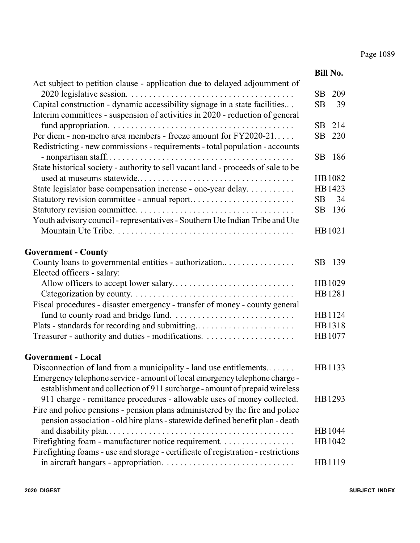|                                                                                                                                                               |           | <b>Bill No.</b> |
|---------------------------------------------------------------------------------------------------------------------------------------------------------------|-----------|-----------------|
| Act subject to petition clause - application due to delayed adjournment of                                                                                    |           |                 |
|                                                                                                                                                               | <b>SB</b> | 209             |
| Capital construction - dynamic accessibility signage in a state facilities<br>Interim committees - suspension of activities in 2020 - reduction of general    | <b>SB</b> | 39              |
|                                                                                                                                                               | SB        | 214             |
| Per diem - non-metro area members - freeze amount for FY2020-21                                                                                               | SB        | 220             |
| Redistricting - new commissions - requirements - total population - accounts                                                                                  | <b>SB</b> | 186             |
| State historical society - authority to sell vacant land - proceeds of sale to be                                                                             |           |                 |
|                                                                                                                                                               |           | HB1082          |
| State legislator base compensation increase - one-year delay.                                                                                                 |           | HB1423          |
| Statutory revision committee - annual report                                                                                                                  | <b>SB</b> | 34              |
|                                                                                                                                                               | SB        | 136             |
| Youth advisory council - representatives - Southern Ute Indian Tribe and Ute                                                                                  |           |                 |
|                                                                                                                                                               |           | HB1021          |
|                                                                                                                                                               |           |                 |
| <b>Government - County</b>                                                                                                                                    |           |                 |
| County loans to governmental entities - authorization                                                                                                         | SB.       | 139             |
| Elected officers - salary:                                                                                                                                    |           |                 |
|                                                                                                                                                               |           | HB1029          |
|                                                                                                                                                               |           | HB1281          |
| Fiscal procedures - disaster emergency - transfer of money - county general                                                                                   |           |                 |
|                                                                                                                                                               |           | HB1124          |
|                                                                                                                                                               |           | HB1318          |
|                                                                                                                                                               |           | HB1077          |
|                                                                                                                                                               |           |                 |
| <b>Government - Local</b>                                                                                                                                     |           |                 |
| Disconnection of land from a municipality - land use entitlements                                                                                             |           | HB1133          |
| Emergency telephone service - amount of local emergency telephone charge -<br>establishment and collection of 911 surcharge - amount of prepaid wireless      |           |                 |
| 911 charge - remittance procedures - allowable uses of money collected.                                                                                       |           | HB1293          |
| Fire and police pensions - pension plans administered by the fire and police<br>pension association - old hire plans - statewide defined benefit plan - death |           |                 |
|                                                                                                                                                               |           | HB1044          |
| Firefighting foam - manufacturer notice requirement.                                                                                                          |           | HB1042          |
| Firefighting foams - use and storage - certificate of registration - restrictions                                                                             |           |                 |
|                                                                                                                                                               |           | HB1119          |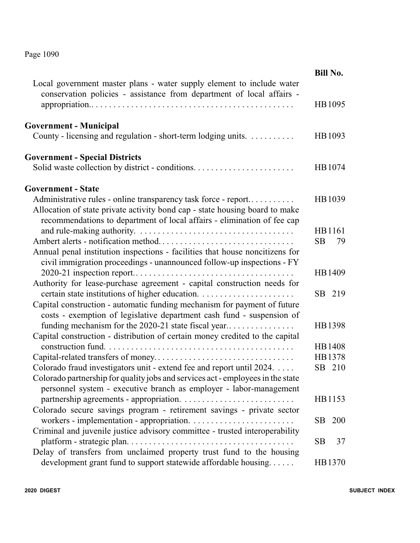|                                                                                                                                                                                                                          | <b>Bill No.</b>   |    |
|--------------------------------------------------------------------------------------------------------------------------------------------------------------------------------------------------------------------------|-------------------|----|
| Local government master plans - water supply element to include water<br>conservation policies - assistance from department of local affairs -                                                                           | HB1095            |    |
| <b>Government - Municipal</b>                                                                                                                                                                                            |                   |    |
| County - licensing and regulation - short-term lodging units.                                                                                                                                                            | HB1093            |    |
| <b>Government - Special Districts</b>                                                                                                                                                                                    | HB1074            |    |
| <b>Government - State</b>                                                                                                                                                                                                |                   |    |
| Administrative rules - online transparency task force - report<br>Allocation of state private activity bond cap - state housing board to make<br>recommendations to department of local affairs - elimination of fee cap | HB1039            |    |
|                                                                                                                                                                                                                          | HB1161            |    |
|                                                                                                                                                                                                                          | <b>SB</b>         | 79 |
| Annual penal institution inspections - facilities that house noncitizens for                                                                                                                                             |                   |    |
| civil immigration proceedings - unannounced follow-up inspections - FY                                                                                                                                                   |                   |    |
|                                                                                                                                                                                                                          | HB1409            |    |
| Authority for lease-purchase agreement - capital construction needs for                                                                                                                                                  | SB 219            |    |
| Capital construction - automatic funding mechanism for payment of future                                                                                                                                                 |                   |    |
| costs - exemption of legislative department cash fund - suspension of                                                                                                                                                    |                   |    |
| funding mechanism for the 2020-21 state fiscal year                                                                                                                                                                      | HB1398            |    |
| Capital construction - distribution of certain money credited to the capital                                                                                                                                             |                   |    |
|                                                                                                                                                                                                                          | HB1408            |    |
|                                                                                                                                                                                                                          | HB1378            |    |
| Colorado fraud investigators unit - extend fee and report until 2024.                                                                                                                                                    | SB 210            |    |
| Colorado partnership for quality jobs and services act - employees in the state<br>personnel system - executive branch as employer - labor-management                                                                    |                   |    |
|                                                                                                                                                                                                                          | HB1153            |    |
| Colorado secure savings program - retirement savings - private sector                                                                                                                                                    |                   |    |
|                                                                                                                                                                                                                          | SB.<br><b>200</b> |    |
| Criminal and juvenile justice advisory committee - trusted interoperability                                                                                                                                              |                   |    |
| Delay of transfers from unclaimed property trust fund to the housing                                                                                                                                                     | <b>SB</b>         | 37 |
| development grant fund to support statewide affordable housing                                                                                                                                                           | HB1370            |    |
|                                                                                                                                                                                                                          |                   |    |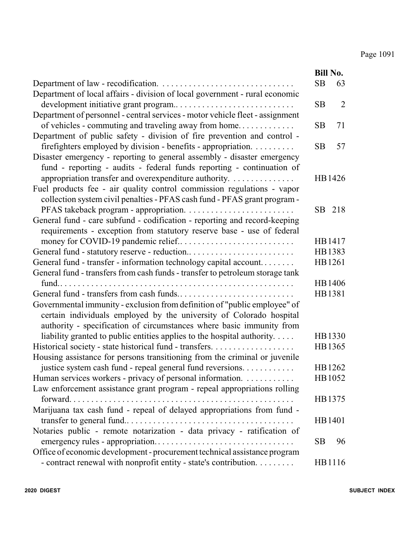|                                                                                     |           | <b>Bill No.</b> |
|-------------------------------------------------------------------------------------|-----------|-----------------|
|                                                                                     | SB        | 63              |
| Department of local affairs - division of local government - rural economic         |           |                 |
| development initiative grant program                                                | <b>SB</b> | $\overline{2}$  |
| Department of personnel - central services - motor vehicle fleet - assignment       |           |                 |
| of vehicles - commuting and traveling away from home                                | <b>SB</b> | 71              |
| Department of public safety - division of fire prevention and control -             |           |                 |
| firefighters employed by division - benefits - appropriation.                       | <b>SB</b> | 57              |
| Disaster emergency - reporting to general assembly - disaster emergency             |           |                 |
| fund - reporting - audits - federal funds reporting - continuation of               |           |                 |
| appropriation transfer and overexpenditure authority.                               |           | HB1426          |
| Fuel products fee - air quality control commission regulations - vapor              |           |                 |
| collection system civil penalties - PFAS cash fund - PFAS grant program -           |           |                 |
|                                                                                     |           | SB 218          |
| General fund - care subfund - codification - reporting and record-keeping           |           |                 |
| requirements - exception from statutory reserve base - use of federal               |           |                 |
|                                                                                     |           | HB1417          |
|                                                                                     |           | HB1383          |
| General fund - transfer - information technology capital account                    |           | HB1261          |
| General fund - transfers from cash funds - transfer to petroleum storage tank       |           |                 |
|                                                                                     |           | HB1406          |
|                                                                                     |           | HB1381          |
| Governmental immunity - exclusion from definition of "public employee" of           |           |                 |
| certain individuals employed by the university of Colorado hospital                 |           |                 |
| authority - specification of circumstances where basic immunity from                |           |                 |
| liability granted to public entities applies to the hospital authority. $\dots$ .   |           | HB1330          |
| Historical society - state historical fund - transfers.                             |           | HB1365          |
| Housing assistance for persons transitioning from the criminal or juvenile          |           | HB1262          |
| justice system cash fund - repeal general fund reversions.                          |           | HB1052          |
| Human services workers - privacy of personal information.                           |           |                 |
| Law enforcement assistance grant program - repeal appropriations rolling<br>forward |           | HB1375          |
| Marijuana tax cash fund - repeal of delayed appropriations from fund -              |           |                 |
|                                                                                     |           | HB1401          |
| Notaries public - remote notarization - data privacy - ratification of              |           |                 |
|                                                                                     | SВ        | 96              |
| Office of economic development - procurement technical assistance program           |           |                 |
| - contract renewal with nonprofit entity - state's contribution.                    |           | HB1116          |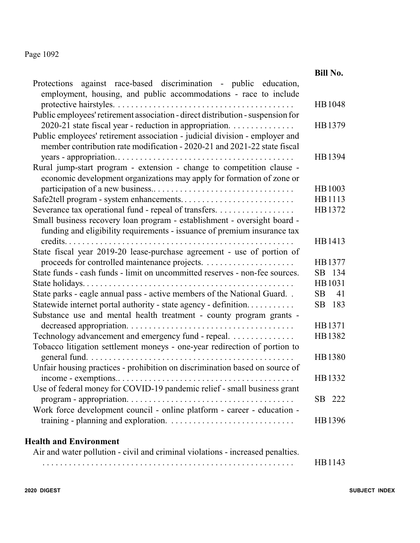|                                                                                                                                                                                                                    | <b>Bill No.</b> |
|--------------------------------------------------------------------------------------------------------------------------------------------------------------------------------------------------------------------|-----------------|
| against race-based discrimination - public education,<br>Protections<br>employment, housing, and public accommodations - race to include                                                                           |                 |
| Public employees' retirement association - direct distribution - suspension for                                                                                                                                    | HB1048          |
| 2020-21 state fiscal year - reduction in appropriation.<br>Public employees' retirement association - judicial division - employer and<br>member contribution rate modification - 2020-21 and 2021-22 state fiscal | HB1379          |
| Rural jump-start program - extension - change to competition clause -<br>economic development organizations may apply for formation of zone or                                                                     | HB1394          |
|                                                                                                                                                                                                                    | HB1003          |
| Safe2tell program - system enhancements                                                                                                                                                                            | HB1113          |
| Severance tax operational fund - repeal of transfers.                                                                                                                                                              | HB1372          |
| Small business recovery loan program - establishment - oversight board -<br>funding and eligibility requirements - issuance of premium insurance tax                                                               |                 |
| $\text{credits.} \dots \dots \dots \dots \dots \dots \dots$                                                                                                                                                        | HB1413          |
| State fiscal year 2019-20 lease-purchase agreement - use of portion of                                                                                                                                             |                 |
|                                                                                                                                                                                                                    | HB1377          |
| State funds - cash funds - limit on uncommitted reserves - non-fee sources.                                                                                                                                        | SB 134          |
|                                                                                                                                                                                                                    | HB1031          |
| State parks - eagle annual pass - active members of the National Guard                                                                                                                                             | SB<br>41        |
| Statewide internet portal authority - state agency - definition<br>Substance use and mental health treatment - county program grants -                                                                             | SB<br>183       |
|                                                                                                                                                                                                                    | HB1371          |
| Technology advancement and emergency fund - repeal.<br>Tobacco litigation settlement moneys - one-year redirection of portion to                                                                                   | HB1382          |
| general fund                                                                                                                                                                                                       | HB1380          |
| Unfair housing practices - prohibition on discrimination based on source of                                                                                                                                        |                 |
|                                                                                                                                                                                                                    | HB1332          |
| Use of federal money for COVID-19 pandemic relief - small business grant                                                                                                                                           |                 |
|                                                                                                                                                                                                                    | SB 222          |
| Work force development council - online platform - career - education -                                                                                                                                            | HB1396          |
|                                                                                                                                                                                                                    |                 |
| <b>Health and Environment</b>                                                                                                                                                                                      |                 |
| Air and water pollution - civil and criminal violations - increased penalties.                                                                                                                                     |                 |
|                                                                                                                                                                                                                    | HB1143          |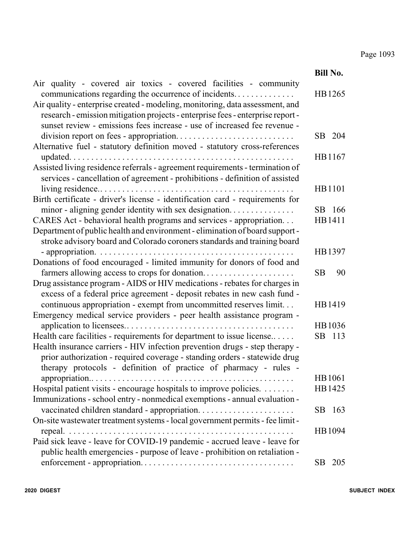|                                                                                                                                                                                                                                              | <b>Bill No.</b> |
|----------------------------------------------------------------------------------------------------------------------------------------------------------------------------------------------------------------------------------------------|-----------------|
| Air quality - covered air toxics - covered facilities - community<br>communications regarding the occurrence of incidents                                                                                                                    | HB1265          |
| Air quality - enterprise created - modeling, monitoring, data assessment, and<br>research - emission mitigation projects - enterprise fees - enterprise report -<br>sunset review - emissions fees increase - use of increased fee revenue - |                 |
|                                                                                                                                                                                                                                              |                 |
|                                                                                                                                                                                                                                              | 204<br>SB.      |
| Alternative fuel - statutory definition moved - statutory cross-references                                                                                                                                                                   |                 |
|                                                                                                                                                                                                                                              | HB1167          |
| Assisted living residence referrals - agreement requirements - termination of                                                                                                                                                                |                 |
| services - cancellation of agreement - prohibitions - definition of assisted                                                                                                                                                                 |                 |
|                                                                                                                                                                                                                                              | HB1101          |
| Birth certificate - driver's license - identification card - requirements for                                                                                                                                                                |                 |
| minor - aligning gender identity with sex designation                                                                                                                                                                                        | SB 166          |
| CARES Act - behavioral health programs and services - appropriation                                                                                                                                                                          | HB1411          |
| Department of public health and environment - elimination of board support -                                                                                                                                                                 |                 |
| stroke advisory board and Colorado coroners standards and training board                                                                                                                                                                     |                 |
|                                                                                                                                                                                                                                              | HB1397          |
| Donations of food encouraged - limited immunity for donors of food and                                                                                                                                                                       |                 |
| farmers allowing access to crops for donation                                                                                                                                                                                                | <b>SB</b><br>90 |
| Drug assistance program - AIDS or HIV medications - rebates for charges in                                                                                                                                                                   |                 |
| excess of a federal price agreement - deposit rebates in new cash fund -                                                                                                                                                                     |                 |
| continuous appropriation - exempt from uncommitted reserves limit.                                                                                                                                                                           | HB1419          |
| Emergency medical service providers - peer health assistance program -                                                                                                                                                                       |                 |
|                                                                                                                                                                                                                                              | HB1036          |
| Health care facilities - requirements for department to issue license                                                                                                                                                                        | SB 113          |
| Health insurance carriers - HIV infection prevention drugs - step therapy -                                                                                                                                                                  |                 |
| prior authorization - required coverage - standing orders - statewide drug                                                                                                                                                                   |                 |
| therapy protocols - definition of practice of pharmacy - rules -                                                                                                                                                                             |                 |
|                                                                                                                                                                                                                                              | HB1061          |
| Hospital patient visits - encourage hospitals to improve policies.                                                                                                                                                                           | HB1425          |
| Immunizations - school entry - nonmedical exemptions - annual evaluation -                                                                                                                                                                   |                 |
|                                                                                                                                                                                                                                              | SB<br>163       |
| On-site wastewater treatment systems - local government permits - fee limit -                                                                                                                                                                |                 |
|                                                                                                                                                                                                                                              | HB1094          |
| Paid sick leave - leave for COVID-19 pandemic - accrued leave - leave for                                                                                                                                                                    |                 |
| public health emergencies - purpose of leave - prohibition on retaliation -                                                                                                                                                                  |                 |
|                                                                                                                                                                                                                                              | 205<br>SB.      |
|                                                                                                                                                                                                                                              |                 |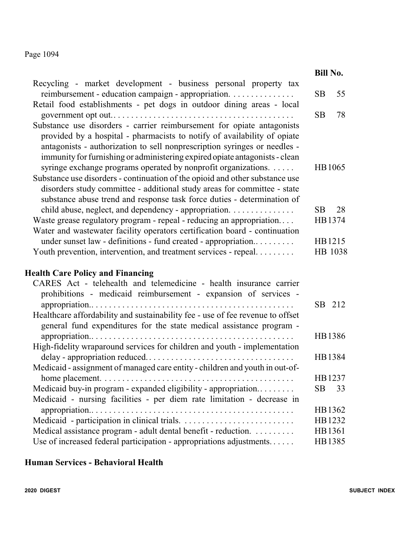|                                                                                                                                                                                                                                                                                                                                                                                  | <b>Bill No.</b> |
|----------------------------------------------------------------------------------------------------------------------------------------------------------------------------------------------------------------------------------------------------------------------------------------------------------------------------------------------------------------------------------|-----------------|
| Recycling - market development - business personal property tax                                                                                                                                                                                                                                                                                                                  |                 |
| reimbursement - education campaign - appropriation.                                                                                                                                                                                                                                                                                                                              | 55<br><b>SB</b> |
| Retail food establishments - pet dogs in outdoor dining areas - local                                                                                                                                                                                                                                                                                                            | <b>SB</b><br>78 |
| Substance use disorders - carrier reimbursement for opiate antagonists<br>provided by a hospital - pharmacists to notify of availability of opiate<br>antagonists - authorization to sell nonprescription syringes or needles -<br>immunity for furnishing or administering expired opiate antagonists - clean<br>syringe exchange programs operated by nonprofit organizations. | HB1065          |
| Substance use disorders - continuation of the opioid and other substance use<br>disorders study committee - additional study areas for committee - state<br>substance abuse trend and response task force duties - determination of                                                                                                                                              |                 |
| child abuse, neglect, and dependency - appropriation.                                                                                                                                                                                                                                                                                                                            | <b>SB</b><br>28 |
| Waste grease regulatory program - repeal - reducing an appropriation<br>Water and wastewater facility operators certification board - continuation                                                                                                                                                                                                                               | HB1374          |
| under sunset law - definitions - fund created - appropriation                                                                                                                                                                                                                                                                                                                    | HB1215          |
| Youth prevention, intervention, and treatment services - repeal                                                                                                                                                                                                                                                                                                                  | HB 1038         |
| <b>Health Care Policy and Financing</b>                                                                                                                                                                                                                                                                                                                                          |                 |
| CARES Act - telehealth and telemedicine - health insurance carrier                                                                                                                                                                                                                                                                                                               |                 |
| prohibitions - medicaid reimbursement - expansion of services -                                                                                                                                                                                                                                                                                                                  |                 |
|                                                                                                                                                                                                                                                                                                                                                                                  | SB 212          |
| Healthcare affordability and sustainability fee - use of fee revenue to offset                                                                                                                                                                                                                                                                                                   |                 |
| general fund expenditures for the state medical assistance program -                                                                                                                                                                                                                                                                                                             |                 |
| $approx$ appropriation<br>.                                                                                                                                                                                                                                                                                                                                                      | HB1386          |
| High-fidelity wraparound services for children and youth - implementation                                                                                                                                                                                                                                                                                                        |                 |
|                                                                                                                                                                                                                                                                                                                                                                                  | HB1384          |
| Medicaid - assignment of managed care entity - children and youth in out-of-                                                                                                                                                                                                                                                                                                     | HB1237          |
| Medicaid buy-in program - expanded eligibility - appropriation                                                                                                                                                                                                                                                                                                                   | <b>SB</b><br>33 |
| Medicaid - nursing facilities - per diem rate limitation - decrease in                                                                                                                                                                                                                                                                                                           |                 |
| appropriation                                                                                                                                                                                                                                                                                                                                                                    | HB1362          |
|                                                                                                                                                                                                                                                                                                                                                                                  | HB1232          |
| Medical assistance program - adult dental benefit - reduction.                                                                                                                                                                                                                                                                                                                   | HB1361          |
| Use of increased federal participation - appropriations adjustments                                                                                                                                                                                                                                                                                                              | HB1385          |

#### **Human Services - Behavioral Health**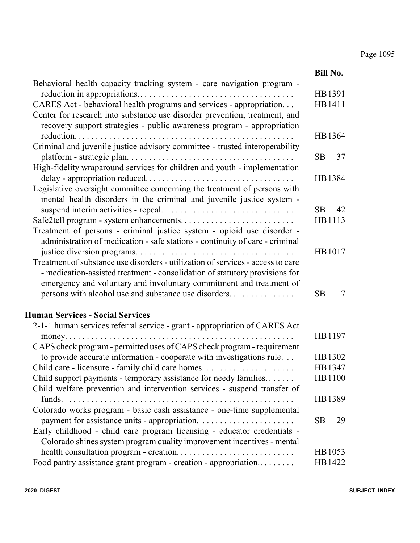|                                                                                                                                                                                                                                       | <b>Bill No.</b> |
|---------------------------------------------------------------------------------------------------------------------------------------------------------------------------------------------------------------------------------------|-----------------|
| Behavioral health capacity tracking system - care navigation program -                                                                                                                                                                |                 |
|                                                                                                                                                                                                                                       | HB1391          |
| CARES Act - behavioral health programs and services - appropriation<br>Center for research into substance use disorder prevention, treatment, and<br>recovery support strategies - public awareness program - appropriation           | HB1411          |
|                                                                                                                                                                                                                                       | HB1364          |
| Criminal and juvenile justice advisory committee - trusted interoperability                                                                                                                                                           | 37<br>SB.       |
| High-fidelity wraparound services for children and youth - implementation                                                                                                                                                             |                 |
|                                                                                                                                                                                                                                       | HB1384          |
| Legislative oversight committee concerning the treatment of persons with<br>mental health disorders in the criminal and juvenile justice system -                                                                                     |                 |
|                                                                                                                                                                                                                                       | <b>SB</b><br>42 |
| Safe2tell program - system enhancements                                                                                                                                                                                               | HB1113          |
| Treatment of persons - criminal justice system - opioid use disorder -<br>administration of medication - safe stations - continuity of care - criminal                                                                                |                 |
|                                                                                                                                                                                                                                       | HB1017          |
| Treatment of substance use disorders - utilization of services - access to care<br>- medication-assisted treatment - consolidation of statutory provisions for<br>emergency and voluntary and involuntary commitment and treatment of |                 |
| persons with alcohol use and substance use disorders                                                                                                                                                                                  | <b>SB</b><br>7  |
| <b>Human Services - Social Services</b>                                                                                                                                                                                               |                 |
| 2-1-1 human services referral service - grant - appropriation of CARES Act                                                                                                                                                            |                 |
| $money. \ldots \ldots \ldots \ldots \ldots$                                                                                                                                                                                           | HB1197          |
| CAPS check program - permitted uses of CAPS check program - requirement                                                                                                                                                               |                 |
| to provide accurate information - cooperate with investigations rule.                                                                                                                                                                 | HB1302          |
|                                                                                                                                                                                                                                       | HB1347          |
| Child support payments - temporary assistance for needy families                                                                                                                                                                      | HB1100          |
| Child welfare prevention and intervention services - suspend transfer of                                                                                                                                                              |                 |
| funds.                                                                                                                                                                                                                                | HB1389          |
| Colorado works program - basic cash assistance - one-time supplemental                                                                                                                                                                |                 |
|                                                                                                                                                                                                                                       | <b>SB</b><br>29 |
| Early childhood - child care program licensing - educator credentials -                                                                                                                                                               |                 |
| Colorado shines system program quality improvement incentives - mental                                                                                                                                                                |                 |
|                                                                                                                                                                                                                                       | HB1053          |
| Food pantry assistance grant program - creation - appropriation                                                                                                                                                                       | HB1422          |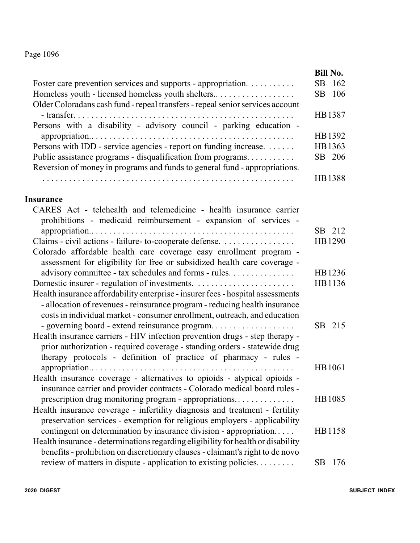|                                                                                | <b>Bill No.</b> |
|--------------------------------------------------------------------------------|-----------------|
| Foster care prevention services and supports - appropriation.                  | SB 162          |
| Homeless youth - licensed homeless youth shelters                              | SB 106          |
| Older Coloradans cash fund - repeal transfers - repeal senior services account |                 |
|                                                                                | HB1387          |
| Persons with a disability - advisory council - parking education -             |                 |
|                                                                                | HB1392          |
| Persons with IDD - service agencies - report on funding increase.              | HB1363          |
| Public assistance programs - disqualification from programs                    | SB 206          |
| Reversion of money in programs and funds to general fund - appropriations.     |                 |
|                                                                                | HB1388          |

#### **Insurance**

| CARES Act - telehealth and telemedicine - health insurance carrier<br>prohibitions - medicaid reimbursement - expansion of services - |        |
|---------------------------------------------------------------------------------------------------------------------------------------|--------|
|                                                                                                                                       | SB 212 |
| Claims - civil actions - failure- to-cooperate defense.                                                                               | HB1290 |
| Colorado affordable health care coverage easy enrollment program -                                                                    |        |
| assessment for eligibility for free or subsidized health care coverage -                                                              |        |
| advisory committee - tax schedules and forms - rules.                                                                                 | HB1236 |
|                                                                                                                                       | HB1136 |
| Health insurance affordability enterprise - insurer fees - hospital assessments                                                       |        |
| - allocation of revenues - reinsurance program - reducing health insurance                                                            |        |
| costs in individual market - consumer enrollment, outreach, and education                                                             |        |
| - governing board - extend reinsurance program                                                                                        | SB 215 |
| Health insurance carriers - HIV infection prevention drugs - step therapy -                                                           |        |
| prior authorization - required coverage - standing orders - statewide drug                                                            |        |
| therapy protocols - definition of practice of pharmacy - rules -                                                                      |        |
|                                                                                                                                       | HB1061 |
| Health insurance coverage - alternatives to opioids - atypical opioids -                                                              |        |
| insurance carrier and provider contracts - Colorado medical board rules -                                                             |        |
| prescription drug monitoring program - appropriations                                                                                 | HB1085 |
| Health insurance coverage - infertility diagnosis and treatment - fertility                                                           |        |
| preservation services - exemption for religious employers - applicability                                                             |        |
| contingent on determination by insurance division - appropriation                                                                     | HB1158 |
| Health insurance - determinations regarding eligibility for health or disability                                                      |        |
| benefits - prohibition on discretionary clauses - claimant's right to de novo                                                         |        |
| review of matters in dispute - application to existing policies                                                                       | SB 176 |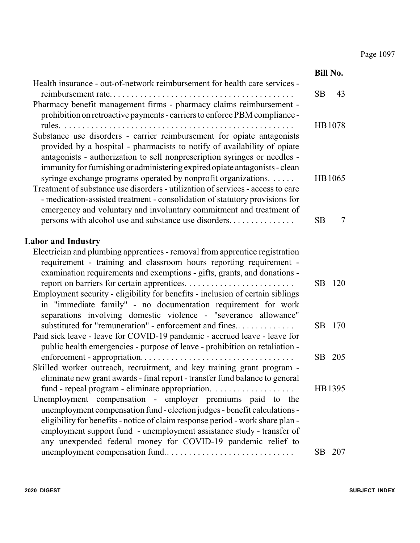|                                                                                                                                                                                                                                                                                                                                                                                                                                                                                                                                                 |           | <b>Bill No.</b> |
|-------------------------------------------------------------------------------------------------------------------------------------------------------------------------------------------------------------------------------------------------------------------------------------------------------------------------------------------------------------------------------------------------------------------------------------------------------------------------------------------------------------------------------------------------|-----------|-----------------|
| Health insurance - out-of-network reimbursement for health care services -                                                                                                                                                                                                                                                                                                                                                                                                                                                                      | <b>SB</b> | 43              |
| Pharmacy benefit management firms - pharmacy claims reimbursement -<br>prohibition on retroactive payments - carriers to enforce PBM compliance -<br>Substance use disorders - carrier reimbursement for opiate antagonists                                                                                                                                                                                                                                                                                                                     |           | HB1078          |
| provided by a hospital - pharmacists to notify of availability of opiate<br>antagonists - authorization to sell nonprescription syringes or needles -<br>immunity for furnishing or administering expired opiate antagonists - clean<br>syringe exchange programs operated by nonprofit organizations.<br>Treatment of substance use disorders - utilization of services - access to care<br>- medication-assisted treatment - consolidation of statutory provisions for<br>emergency and voluntary and involuntary commitment and treatment of |           | HB1065          |
| persons with alcohol use and substance use disorders                                                                                                                                                                                                                                                                                                                                                                                                                                                                                            | <b>SB</b> | 7               |
| <b>Labor and Industry</b>                                                                                                                                                                                                                                                                                                                                                                                                                                                                                                                       |           |                 |
| Electrician and plumbing apprentices - removal from apprentice registration<br>requirement - training and classroom hours reporting requirement -<br>examination requirements and exemptions - gifts, grants, and donations -                                                                                                                                                                                                                                                                                                                   | <b>SB</b> | 120             |
| Employment security - eligibility for benefits - inclusion of certain siblings<br>in "immediate family" - no documentation requirement for work<br>separations involving domestic violence - "severance allowance"                                                                                                                                                                                                                                                                                                                              |           |                 |
| substituted for "remuneration" - enforcement and fines<br>Paid sick leave - leave for COVID-19 pandemic - accrued leave - leave for<br>public health emergencies - purpose of leave - prohibition on retaliation -                                                                                                                                                                                                                                                                                                                              | <b>SB</b> | 170             |
| Skilled worker outreach, recruitment, and key training grant program -<br>eliminate new grant awards - final report - transfer fund balance to general                                                                                                                                                                                                                                                                                                                                                                                          |           | SB 205          |
| Unemployment compensation - employer premiums paid to the<br>unemployment compensation fund - election judges - benefit calculations -<br>eligibility for benefits - notice of claim response period - work share plan -<br>employment support fund - unemployment assistance study - transfer of<br>any unexpended federal money for COVID-19 pandemic relief to                                                                                                                                                                               |           | HB1395          |
|                                                                                                                                                                                                                                                                                                                                                                                                                                                                                                                                                 |           | SB 207          |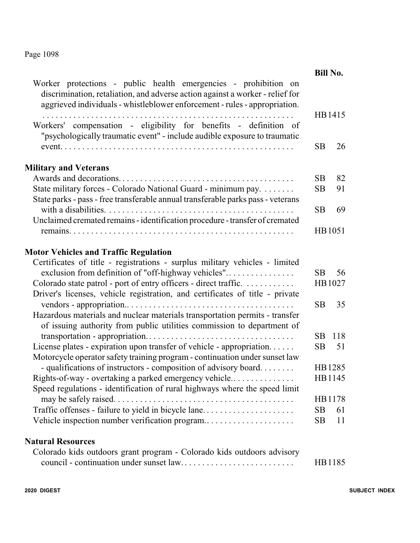|                                                                                                                                                                                                                                | <b>Bill No.</b> |        |
|--------------------------------------------------------------------------------------------------------------------------------------------------------------------------------------------------------------------------------|-----------------|--------|
| Worker protections - public health emergencies - prohibition on<br>discrimination, retaliation, and adverse action against a worker - relief for<br>aggrieved individuals - whistleblower enforcement - rules - appropriation. |                 |        |
| Workers' compensation - eligibility for benefits - definition of<br>"psychologically traumatic event" - include audible exposure to traumatic                                                                                  |                 | HB1415 |
|                                                                                                                                                                                                                                | <b>SB</b>       | 26     |
| <b>Military and Veterans</b>                                                                                                                                                                                                   |                 |        |
|                                                                                                                                                                                                                                | <b>SB</b>       | 82     |
| State military forces - Colorado National Guard - minimum pay.<br>State parks - pass - free transferable annual transferable parks pass - veterans                                                                             | <b>SB</b>       | 91     |
|                                                                                                                                                                                                                                | <b>SB</b>       | 69     |
| Unclaimed cremated remains - identification procedure - transfer of cremated                                                                                                                                                   |                 |        |
|                                                                                                                                                                                                                                |                 | HB1051 |
| <b>Motor Vehicles and Traffic Regulation</b>                                                                                                                                                                                   |                 |        |
| Certificates of title - registrations - surplus military vehicles - limited                                                                                                                                                    |                 |        |
| exclusion from definition of "off-highway vehicles"                                                                                                                                                                            | SB.             | 56     |
| Colorado state patrol - port of entry officers - direct traffic.                                                                                                                                                               |                 | HB1027 |
| Driver's licenses, vehicle registration, and certificates of title - private                                                                                                                                                   |                 |        |
|                                                                                                                                                                                                                                | <b>SB</b>       | 35     |
| Hazardous materials and nuclear materials transportation permits - transfer<br>of issuing authority from public utilities commission to department of                                                                          |                 |        |
|                                                                                                                                                                                                                                | SB              | 118    |
| License plates - expiration upon transfer of vehicle - appropriation<br>Motorcycle operator safety training program - continuation under sunset law                                                                            | SВ              | 51     |
| - qualifications of instructors - composition of advisory board                                                                                                                                                                |                 | HB1285 |
| Rights-of-way - overtaking a parked emergency vehicle                                                                                                                                                                          |                 | HB1145 |
| Speed regulations - identification of rural highways where the speed limit                                                                                                                                                     |                 |        |
|                                                                                                                                                                                                                                |                 | HB1178 |
| Traffic offenses - failure to yield in bicycle lane                                                                                                                                                                            | <b>SB</b>       | 61     |
| Vehicle inspection number verification program                                                                                                                                                                                 | <b>SB</b>       | 11     |
| <b>Natural Resources</b>                                                                                                                                                                                                       |                 |        |
| Colorado kids outdoors grant program - Colorado kids outdoors advisory                                                                                                                                                         |                 |        |
|                                                                                                                                                                                                                                |                 | HB1185 |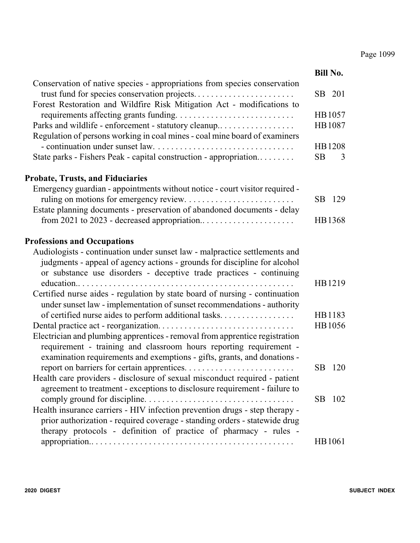|                                                                                                                                                        |           | <b>Bill No.</b> |
|--------------------------------------------------------------------------------------------------------------------------------------------------------|-----------|-----------------|
| Conservation of native species - appropriations from species conservation                                                                              |           |                 |
| Forest Restoration and Wildfire Risk Mitigation Act - modifications to                                                                                 |           | SB 201          |
|                                                                                                                                                        |           | HB1057          |
| Parks and wildlife - enforcement - statutory cleanup                                                                                                   |           | HB1087          |
| Regulation of persons working in coal mines - coal mine board of examiners                                                                             |           |                 |
|                                                                                                                                                        |           | HB1208          |
| State parks - Fishers Peak - capital construction - appropriation                                                                                      | <b>SB</b> | 3               |
| <b>Probate, Trusts, and Fiduciaries</b>                                                                                                                |           |                 |
| Emergency guardian - appointments without notice - court visitor required -                                                                            |           |                 |
|                                                                                                                                                        |           | SB 129          |
| Estate planning documents - preservation of abandoned documents - delay                                                                                |           |                 |
|                                                                                                                                                        |           | HB1368          |
| <b>Professions and Occupations</b>                                                                                                                     |           |                 |
| Audiologists - continuation under sunset law - malpractice settlements and                                                                             |           |                 |
| judgments - appeal of agency actions - grounds for discipline for alcohol                                                                              |           |                 |
| or substance use disorders - deceptive trade practices - continuing                                                                                    |           |                 |
|                                                                                                                                                        |           | HB1219          |
| Certified nurse aides - regulation by state board of nursing - continuation<br>under sunset law - implementation of sunset recommendations - authority |           |                 |
| of certified nurse aides to perform additional tasks                                                                                                   |           | HB1183          |
|                                                                                                                                                        |           | HB1056          |
| Electrician and plumbing apprentices - removal from apprentice registration                                                                            |           |                 |
| requirement - training and classroom hours reporting requirement -                                                                                     |           |                 |
| examination requirements and exemptions - gifts, grants, and donations -                                                                               |           |                 |
|                                                                                                                                                        | <b>SB</b> | 120             |
| Health care providers - disclosure of sexual misconduct required - patient                                                                             |           |                 |
| agreement to treatment - exceptions to disclosure requirement - failure to                                                                             |           |                 |
|                                                                                                                                                        |           | SB 102          |
| Health insurance carriers - HIV infection prevention drugs - step therapy -                                                                            |           |                 |
| prior authorization - required coverage - standing orders - statewide drug                                                                             |           |                 |
| therapy protocols - definition of practice of pharmacy - rules -                                                                                       |           |                 |
|                                                                                                                                                        |           | HB1061          |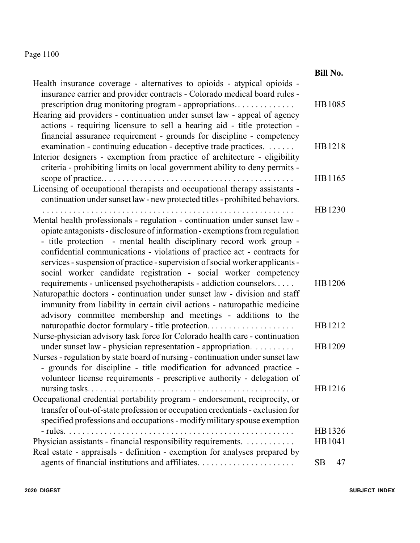|                                                                                                                                                                                                                                                                                                                                                                                    | <b>Bill No.</b> |
|------------------------------------------------------------------------------------------------------------------------------------------------------------------------------------------------------------------------------------------------------------------------------------------------------------------------------------------------------------------------------------|-----------------|
| Health insurance coverage - alternatives to opioids - atypical opioids -<br>insurance carrier and provider contracts - Colorado medical board rules -<br>prescription drug monitoring program - appropriations                                                                                                                                                                     | HB1085          |
| Hearing aid providers - continuation under sunset law - appeal of agency<br>actions - requiring licensure to sell a hearing aid - title protection -<br>financial assurance requirement - grounds for discipline - competency<br>examination - continuing education - deceptive trade practices.                                                                                   | HB1218          |
| Interior designers - exemption from practice of architecture - eligibility<br>criteria - prohibiting limits on local government ability to deny permits -                                                                                                                                                                                                                          |                 |
| Licensing of occupational therapists and occupational therapy assistants -<br>continuation under sunset law - new protected titles - prohibited behaviors.                                                                                                                                                                                                                         | HB1165          |
| Mental health professionals - regulation - continuation under sunset law -                                                                                                                                                                                                                                                                                                         | HB1230          |
| opiate antagonists - disclosure of information - exemptions from regulation<br>- title protection - mental health disciplinary record work group -<br>confidential communications - violations of practice act - contracts for<br>services - suspension of practice - supervision of social worker applicants -<br>social worker candidate registration - social worker competency |                 |
| requirements - unlicensed psychotherapists - addiction counselors<br>Naturopathic doctors - continuation under sunset law - division and staff<br>immunity from liability in certain civil actions - naturopathic medicine<br>advisory committee membership and meetings - additions to the                                                                                        | HB1206          |
| naturopathic doctor formulary - title protection<br>Nurse-physician advisory task force for Colorado health care - continuation                                                                                                                                                                                                                                                    | HB1212          |
| under sunset law - physician representation - appropriation.<br>Nurses - regulation by state board of nursing - continuation under sunset law<br>- grounds for discipline - title modification for advanced practice -<br>volunteer license requirements - prescriptive authority - delegation of                                                                                  | HB1209          |
| nursing tasks<br>Occupational credential portability program - endorsement, reciprocity, or<br>transfer of out-of-state profession or occupation credentials - exclusion for<br>specified professions and occupations - modify military spouse exemption                                                                                                                           | HB1216          |
|                                                                                                                                                                                                                                                                                                                                                                                    | HB1326          |
| Physician assistants - financial responsibility requirements.                                                                                                                                                                                                                                                                                                                      | HB1041          |
| Real estate - appraisals - definition - exemption for analyses prepared by                                                                                                                                                                                                                                                                                                         |                 |
|                                                                                                                                                                                                                                                                                                                                                                                    | <b>SB</b><br>47 |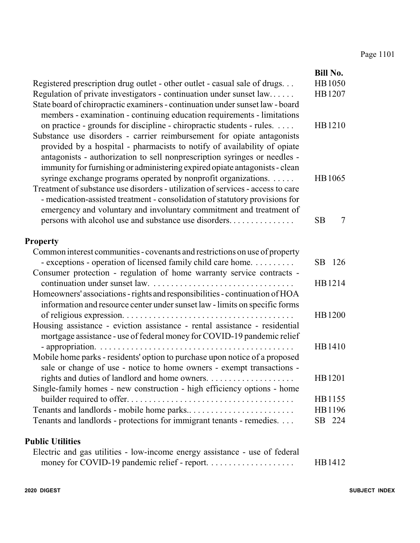| Registered prescription drug outlet - other outlet - casual sale of drugs<br>Regulation of private investigators - continuation under sunset law<br>State board of chiropractic examiners - continuation under sunset law - board<br>members - examination - continuing education requirements - limitations<br>on practice - grounds for discipline - chiropractic students - rules.<br>Substance use disorders - carrier reimbursement for opiate antagonists<br>provided by a hospital - pharmacists to notify of availability of opiate<br>antagonists - authorization to sell nonprescription syringes or needles -<br>immunity for furnishing or administering expired opiate antagonists - clean | <b>Bill No.</b><br>HB1050<br>HB1207<br>HB1210 |
|---------------------------------------------------------------------------------------------------------------------------------------------------------------------------------------------------------------------------------------------------------------------------------------------------------------------------------------------------------------------------------------------------------------------------------------------------------------------------------------------------------------------------------------------------------------------------------------------------------------------------------------------------------------------------------------------------------|-----------------------------------------------|
| syringe exchange programs operated by nonprofit organizations.<br>Treatment of substance use disorders - utilization of services - access to care<br>- medication-assisted treatment - consolidation of statutory provisions for<br>emergency and voluntary and involuntary commitment and treatment of<br>persons with alcohol use and substance use disorders                                                                                                                                                                                                                                                                                                                                         | HB1065<br><b>SB</b><br>$\tau$                 |
| <b>Property</b>                                                                                                                                                                                                                                                                                                                                                                                                                                                                                                                                                                                                                                                                                         |                                               |
| Common interest communities - covenants and restrictions on use of property<br>- exceptions - operation of licensed family child care home.<br>Consumer protection - regulation of home warranty service contracts -                                                                                                                                                                                                                                                                                                                                                                                                                                                                                    | SB 126                                        |
| Homeowners' associations - rights and responsibilities - continuation of HOA<br>information and resource center under sunset law - limits on specific forms                                                                                                                                                                                                                                                                                                                                                                                                                                                                                                                                             | HB1214                                        |
| Housing assistance - eviction assistance - rental assistance - residential<br>mortgage assistance - use of federal money for COVID-19 pandemic relief                                                                                                                                                                                                                                                                                                                                                                                                                                                                                                                                                   | HB1200                                        |
| Mobile home parks - residents' option to purchase upon notice of a proposed<br>sale or change of use - notice to home owners - exempt transactions -                                                                                                                                                                                                                                                                                                                                                                                                                                                                                                                                                    | HB1410                                        |
| Single-family homes - new construction - high efficiency options - home                                                                                                                                                                                                                                                                                                                                                                                                                                                                                                                                                                                                                                 | HB1201                                        |
| Tenants and landlords - protections for immigrant tenants - remedies.                                                                                                                                                                                                                                                                                                                                                                                                                                                                                                                                                                                                                                   | HB1155<br>HB1196<br>SB 224                    |
| <b>Public Utilities</b>                                                                                                                                                                                                                                                                                                                                                                                                                                                                                                                                                                                                                                                                                 |                                               |
| Electric and gas utilities - low-income energy assistance - use of federal                                                                                                                                                                                                                                                                                                                                                                                                                                                                                                                                                                                                                              | HB1412                                        |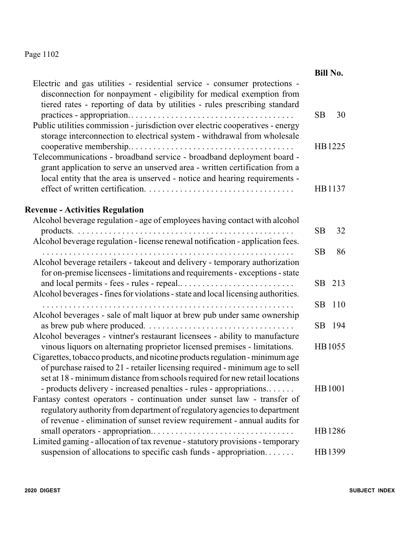|                                                                                                                                                                                                                                                                                                                                                                                                 |           | <b>Bill No.</b>  |
|-------------------------------------------------------------------------------------------------------------------------------------------------------------------------------------------------------------------------------------------------------------------------------------------------------------------------------------------------------------------------------------------------|-----------|------------------|
| Electric and gas utilities - residential service - consumer protections -<br>disconnection for nonpayment - eligibility for medical exemption from<br>tiered rates - reporting of data by utilities - rules prescribing standard                                                                                                                                                                | <b>SB</b> | 30               |
| Public utilities commission - jurisdiction over electric cooperatives - energy<br>storage interconnection to electrical system - withdrawal from wholesale<br>Telecommunications - broadband service - broadband deployment board -<br>grant application to serve an unserved area - written certification from a<br>local entity that the area is unserved - notice and hearing requirements - |           | HB1225<br>HB1137 |
|                                                                                                                                                                                                                                                                                                                                                                                                 |           |                  |
| <b>Revenue - Activities Regulation</b><br>Alcohol beverage regulation - age of employees having contact with alcohol                                                                                                                                                                                                                                                                            | <b>SB</b> | 32               |
| Alcohol beverage regulation - license renewal notification - application fees.                                                                                                                                                                                                                                                                                                                  | <b>SB</b> | 86               |
| Alcohol beverage retailers - takeout and delivery - temporary authorization<br>for on-premise licensees - limitations and requirements - exceptions - state<br>Alcohol beverages - fines for violations - state and local licensing authorities.                                                                                                                                                | SB        | 213              |
| Alcohol beverages - sale of malt liquor at brew pub under same ownership                                                                                                                                                                                                                                                                                                                        | <b>SB</b> | 110              |
| Alcohol beverages - vintner's restaurant licensees - ability to manufacture                                                                                                                                                                                                                                                                                                                     | SB.       | 194              |
| vinous liquors on alternating proprietor licensed premises - limitations.<br>Cigarettes, tobacco products, and nicotine products regulation - minimum age<br>of purchase raised to 21 - retailer licensing required - minimum age to sell<br>set at 18 - minimum distance from schools required for new retail locations                                                                        |           | HB1055           |
| - products delivery - increased penalties - rules - appropriations<br>Fantasy contest operators - continuation under sunset law - transfer of<br>regulatory authority from department of regulatory agencies to department<br>of revenue - elimination of sunset review requirement - annual audits for                                                                                         |           | HB1001           |
|                                                                                                                                                                                                                                                                                                                                                                                                 |           | HB1286           |
| Limited gaming - allocation of tax revenue - statutory provisions - temporary<br>suspension of allocations to specific cash funds - appropriation                                                                                                                                                                                                                                               |           | HB1399           |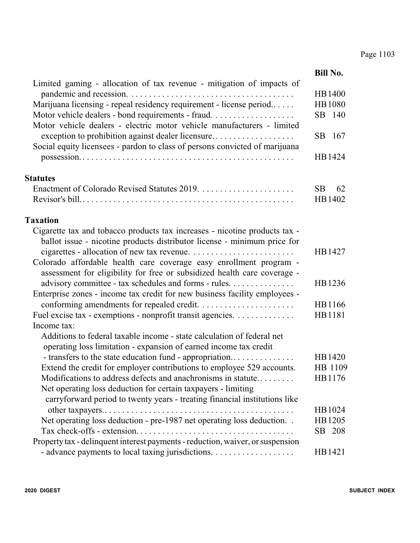|                                                                                                                                             | <b>Bill No.</b> |
|---------------------------------------------------------------------------------------------------------------------------------------------|-----------------|
| Limited gaming - allocation of tax revenue - mitigation of impacts of                                                                       |                 |
|                                                                                                                                             | HB1400          |
| Marijuana licensing - repeal residency requirement - license period                                                                         | <b>HB1080</b>   |
| Motor vehicle dealers - bond requirements - fraud<br>Motor vehicle dealers - electric motor vehicle manufacturers - limited                 | SB 140          |
| exception to prohibition against dealer licensure<br>Social equity licensees - pardon to class of persons convicted of marijuana            | SB 167          |
|                                                                                                                                             | HB1424          |
| <b>Statutes</b>                                                                                                                             |                 |
|                                                                                                                                             | <b>SB</b><br>62 |
|                                                                                                                                             | HB1402          |
| <b>Taxation</b>                                                                                                                             |                 |
| Cigarette tax and tobacco products tax increases - nicotine products tax -                                                                  |                 |
| ballot issue - nicotine products distributor license - minimum price for                                                                    |                 |
|                                                                                                                                             | HB1427          |
| Colorado affordable health care coverage easy enrollment program -                                                                          |                 |
| assessment for eligibility for free or subsidized health care coverage -                                                                    |                 |
| advisory committee - tax schedules and forms - rules.                                                                                       | HB1236          |
| Enterprise zones - income tax credit for new business facility employees -                                                                  |                 |
|                                                                                                                                             | HB1166          |
| Fuel excise tax - exemptions - nonprofit transit agencies.                                                                                  | HB1181          |
| Income tax:                                                                                                                                 |                 |
| Additions to federal taxable income - state calculation of federal net<br>operating loss limitation - expansion of earned income tax credit |                 |
| - transfers to the state education fund - appropriation                                                                                     | HB1420          |
| Extend the credit for employer contributions to employee 529 accounts.                                                                      | HB 1109         |
| Modifications to address defects and anachronisms in statute                                                                                | HB1176          |
| Net operating loss deduction for certain taxpayers - limiting<br>carryforward period to twenty years - treating financial institutions like |                 |
|                                                                                                                                             | HB1024          |
| Net operating loss deduction - pre-1987 net operating loss deduction                                                                        | HB1205          |
|                                                                                                                                             | SB 208          |
| Property tax - delinquent interest payments - reduction, waiver, or suspension                                                              |                 |
|                                                                                                                                             | HB1421          |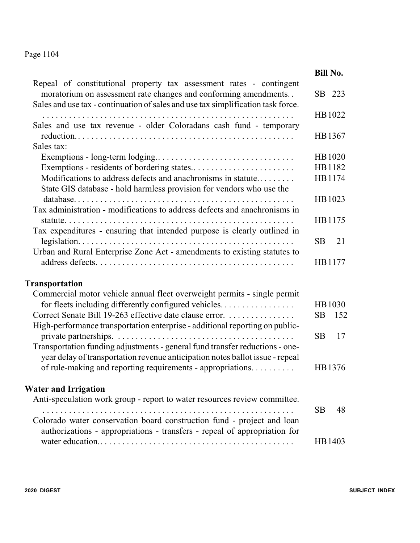|                                                                                                                                                                                                                            | <b>Bill No.</b> |        |
|----------------------------------------------------------------------------------------------------------------------------------------------------------------------------------------------------------------------------|-----------------|--------|
| Repeal of constitutional property tax assessment rates - contingent<br>moratorium on assessment rate changes and conforming amendments<br>Sales and use tax - continuation of sales and use tax simplification task force. |                 | SB 223 |
|                                                                                                                                                                                                                            |                 | HB1022 |
| Sales and use tax revenue - older Coloradans cash fund - temporary                                                                                                                                                         |                 | HB1367 |
| Sales tax:                                                                                                                                                                                                                 |                 |        |
|                                                                                                                                                                                                                            |                 | HB1020 |
|                                                                                                                                                                                                                            |                 | HB1182 |
| Modifications to address defects and anachronisms in statute<br>State GIS database - hold harmless provision for vendors who use the                                                                                       |                 | HB1174 |
| Tax administration - modifications to address defects and anachronisms in                                                                                                                                                  |                 | HB1023 |
| Tax expenditures - ensuring that intended purpose is clearly outlined in                                                                                                                                                   |                 | HB1175 |
| Urban and Rural Enterprise Zone Act - amendments to existing statutes to                                                                                                                                                   | SB.             | 21     |
|                                                                                                                                                                                                                            |                 | HB1177 |
| <b>Transportation</b>                                                                                                                                                                                                      |                 |        |
| Commercial motor vehicle annual fleet overweight permits - single permit                                                                                                                                                   |                 |        |
| for fleets including differently configured vehicles                                                                                                                                                                       |                 | HB1030 |
| Correct Senate Bill 19-263 effective date clause error.<br>High-performance transportation enterprise - additional reporting on public-                                                                                    | <b>SB</b>       | 152    |
|                                                                                                                                                                                                                            | <b>SB</b>       | 17     |
| Transportation funding adjustments - general fund transfer reductions - one-<br>year delay of transportation revenue anticipation notes ballot issue - repeal                                                              |                 |        |
| of rule-making and reporting requirements - appropriations.                                                                                                                                                                |                 | HB1376 |
| <b>Water and Irrigation</b>                                                                                                                                                                                                |                 |        |
| Anti-speculation work group - report to water resources review committee.                                                                                                                                                  |                 |        |
| Colorado water conservation board construction fund - project and loan                                                                                                                                                     | <b>SB</b>       | 48     |
| authorizations - appropriations - transfers - repeal of appropriation for                                                                                                                                                  |                 | HB1403 |